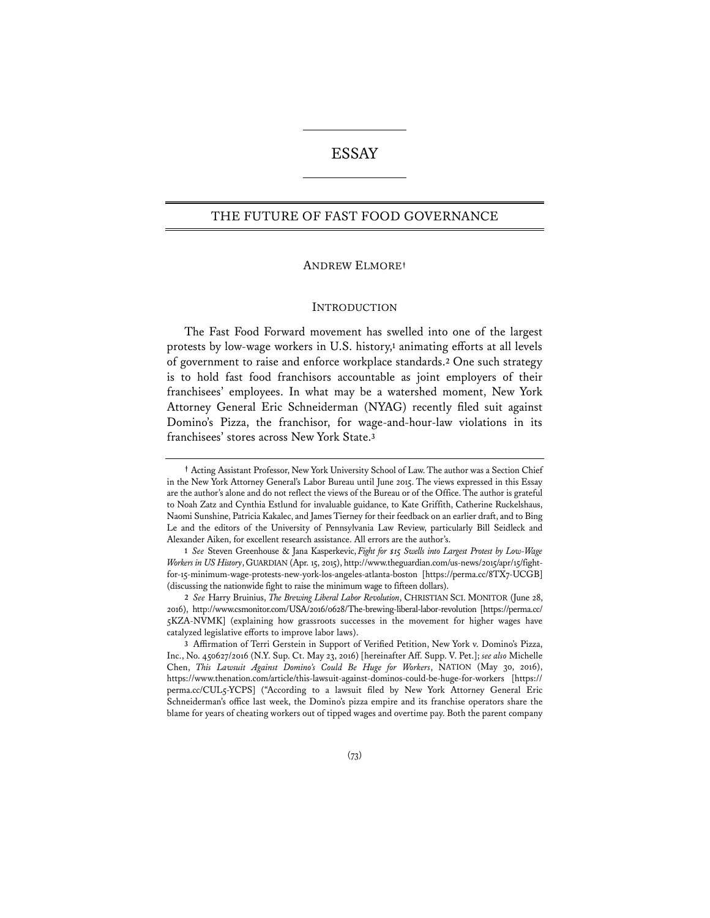# ESSAY

## THE FUTURE OF FAST FOOD GOVERNANCE

#### ANDREW ELMORE**†**

#### **INTRODUCTION**

The Fast Food Forward movement has swelled into one of the largest protests by low-wage workers in U.S. history,**<sup>1</sup>** animating efforts at all levels of government to raise and enforce workplace standards.**<sup>2</sup>** One such strategy is to hold fast food franchisors accountable as joint employers of their franchisees' employees. In what may be a watershed moment, New York Attorney General Eric Schneiderman (NYAG) recently filed suit against Domino's Pizza, the franchisor, for wage-and-hour-law violations in its franchisees' stores across New York State.**<sup>3</sup>**

**<sup>†</sup>** Acting Assistant Professor, New York University School of Law. The author was a Section Chief in the New York Attorney General's Labor Bureau until June 2015. The views expressed in this Essay are the author's alone and do not reflect the views of the Bureau or of the Office. The author is grateful to Noah Zatz and Cynthia Estlund for invaluable guidance, to Kate Griffith, Catherine Ruckelshaus, Naomi Sunshine, Patricia Kakalec, and James Tierney for their feedback on an earlier draft, and to Bing Le and the editors of the University of Pennsylvania Law Review, particularly Bill Seidleck and Alexander Aiken, for excellent research assistance. All errors are the author's.

**<sup>1</sup>** *See* Steven Greenhouse & Jana Kasperkevic, *Fight for \$15 Swells into Largest Protest by Low-Wage Workers in US History*,GUARDIAN (Apr. 15, 2015), http://www.theguardian.com/us-news/2015/apr/15/fightfor-15-minimum-wage-protests-new-york-los-angeles-atlanta-boston [https://perma.cc/8TX7-UCGB] (discussing the nationwide fight to raise the minimum wage to fifteen dollars).

**<sup>2</sup>** *See* Harry Bruinius, *The Brewing Liberal Labor Revolution*, CHRISTIAN SCI. MONITOR (June 28, 2016), http://www.csmonitor.com/USA/2016/0628/The-brewing-liberal-labor-revolution [https://perma.cc/ 5KZA-NVMK] (explaining how grassroots successes in the movement for higher wages have catalyzed legislative efforts to improve labor laws).

**<sup>3</sup>** Affirmation of Terri Gerstein in Support of Verified Petition, New York v. Domino's Pizza, Inc., No. 450627/2016 (N.Y. Sup. Ct. May 23, 2016) [hereinafter Aff. Supp. V. Pet.]; *see also* Michelle Chen, *This Lawsuit Against Domino's Could Be Huge for Workers*, NATION (May 30, 2016), https://www.thenation.com/article/this-lawsuit-against-dominos-could-be-huge-for-workers [https:// perma.cc/CUL5-YCPS] ("According to a lawsuit filed by New York Attorney General Eric Schneiderman's office last week, the Domino's pizza empire and its franchise operators share the blame for years of cheating workers out of tipped wages and overtime pay. Both the parent company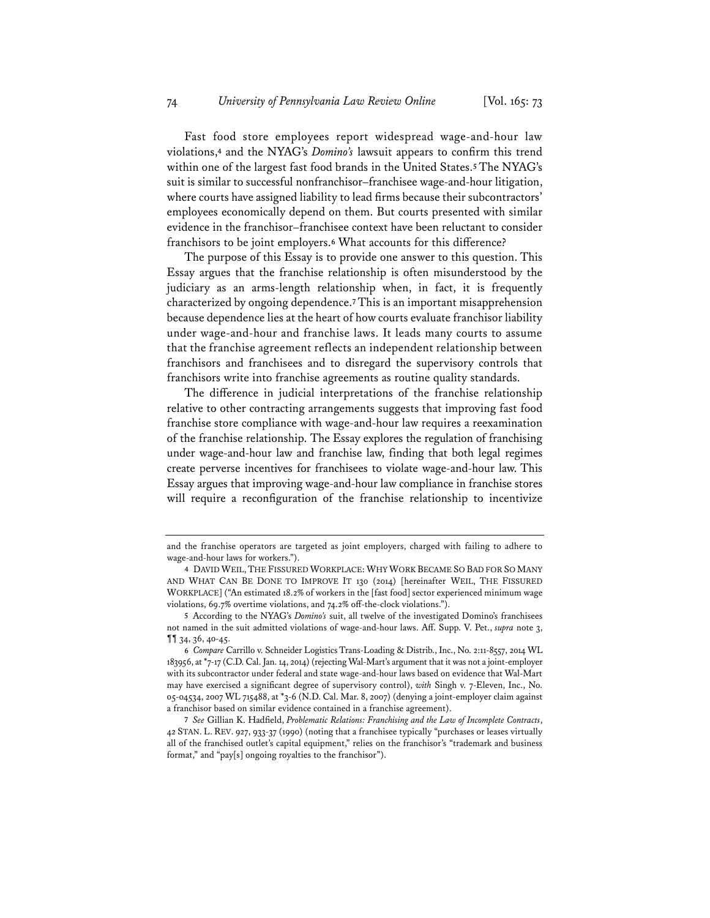Fast food store employees report widespread wage-and-hour law violations,**<sup>4</sup>** and the NYAG's *Domino's* lawsuit appears to confirm this trend within one of the largest fast food brands in the United States.**<sup>5</sup>** The NYAG's suit is similar to successful nonfranchisor–franchisee wage-and-hour litigation, where courts have assigned liability to lead firms because their subcontractors' employees economically depend on them. But courts presented with similar evidence in the franchisor–franchisee context have been reluctant to consider franchisors to be joint employers.**<sup>6</sup>** What accounts for this difference?

The purpose of this Essay is to provide one answer to this question. This Essay argues that the franchise relationship is often misunderstood by the judiciary as an arms-length relationship when, in fact, it is frequently characterized by ongoing dependence.**<sup>7</sup>** This is an important misapprehension because dependence lies at the heart of how courts evaluate franchisor liability under wage-and-hour and franchise laws. It leads many courts to assume that the franchise agreement reflects an independent relationship between franchisors and franchisees and to disregard the supervisory controls that franchisors write into franchise agreements as routine quality standards.

The difference in judicial interpretations of the franchise relationship relative to other contracting arrangements suggests that improving fast food franchise store compliance with wage-and-hour law requires a reexamination of the franchise relationship. The Essay explores the regulation of franchising under wage-and-hour law and franchise law, finding that both legal regimes create perverse incentives for franchisees to violate wage-and-hour law. This Essay argues that improving wage-and-hour law compliance in franchise stores will require a reconfiguration of the franchise relationship to incentivize

and the franchise operators are targeted as joint employers, charged with failing to adhere to wage-and-hour laws for workers.").

**<sup>4</sup>** DAVID WEIL, THE FISSURED WORKPLACE: WHY WORK BECAME SO BAD FOR SO MANY AND WHAT CAN BE DONE TO IMPROVE IT 130 (2014) [hereinafter WEIL, THE FISSURED WORKPLACE] ("An estimated 18.2% of workers in the [fast food] sector experienced minimum wage violations, 69.7% overtime violations, and 74.2% off-the-clock violations.").

**<sup>5</sup>** According to the NYAG's *Domino's* suit, all twelve of the investigated Domino's franchisees not named in the suit admitted violations of wage-and-hour laws. Aff. Supp. V. Pet., *supra* note 3, ¶¶ 34, 36, 40-45.

**<sup>6</sup>** *Compare* Carrillo v. Schneider Logistics Trans-Loading & Distrib., Inc., No. 2:11-8557, 2014 WL 183956, at \*7-17 (C.D. Cal. Jan. 14, 2014) (rejecting Wal-Mart's argument that it was not a joint-employer with its subcontractor under federal and state wage-and-hour laws based on evidence that Wal-Mart may have exercised a significant degree of supervisory control), *with* Singh v. 7-Eleven, Inc., No. 05-04534, 2007 WL 715488, at \*3-6 (N.D. Cal. Mar. 8, 2007) (denying a joint-employer claim against a franchisor based on similar evidence contained in a franchise agreement).

**<sup>7</sup>** *See* Gillian K. Hadfield, *Problematic Relations: Franchising and the Law of Incomplete Contracts*, 42 STAN. L. REV. 927, 933-37 (1990) (noting that a franchisee typically "purchases or leases virtually all of the franchised outlet's capital equipment," relies on the franchisor's "trademark and business format," and "pay[s] ongoing royalties to the franchisor").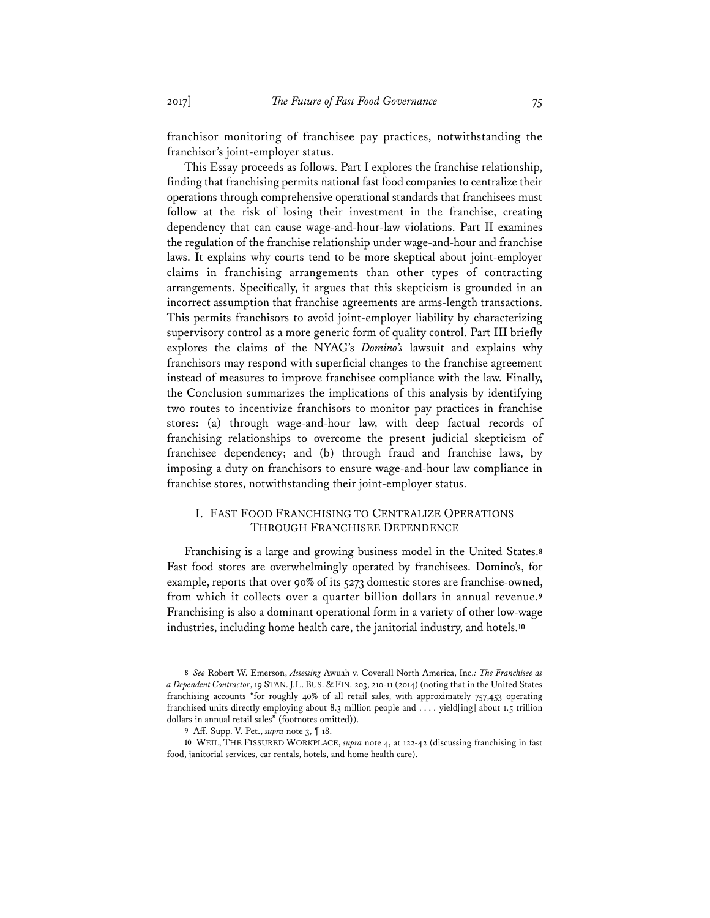franchisor monitoring of franchisee pay practices, notwithstanding the franchisor's joint-employer status.

This Essay proceeds as follows. Part I explores the franchise relationship, finding that franchising permits national fast food companies to centralize their operations through comprehensive operational standards that franchisees must follow at the risk of losing their investment in the franchise, creating dependency that can cause wage-and-hour-law violations. Part II examines the regulation of the franchise relationship under wage-and-hour and franchise laws. It explains why courts tend to be more skeptical about joint-employer claims in franchising arrangements than other types of contracting arrangements. Specifically, it argues that this skepticism is grounded in an incorrect assumption that franchise agreements are arms-length transactions. This permits franchisors to avoid joint-employer liability by characterizing supervisory control as a more generic form of quality control. Part III briefly explores the claims of the NYAG's *Domino's* lawsuit and explains why franchisors may respond with superficial changes to the franchise agreement instead of measures to improve franchisee compliance with the law. Finally, the Conclusion summarizes the implications of this analysis by identifying two routes to incentivize franchisors to monitor pay practices in franchise stores: (a) through wage-and-hour law, with deep factual records of franchising relationships to overcome the present judicial skepticism of franchisee dependency; and (b) through fraud and franchise laws, by imposing a duty on franchisors to ensure wage-and-hour law compliance in franchise stores, notwithstanding their joint-employer status.

## I. FAST FOOD FRANCHISING TO CENTRALIZE OPERATIONS THROUGH FRANCHISEE DEPENDENCE

Franchising is a large and growing business model in the United States.**<sup>8</sup>** Fast food stores are overwhelmingly operated by franchisees. Domino's, for example, reports that over 90% of its 5273 domestic stores are franchise-owned, from which it collects over a quarter billion dollars in annual revenue.**<sup>9</sup>** Franchising is also a dominant operational form in a variety of other low-wage industries, including home health care, the janitorial industry, and hotels.**<sup>10</sup>**

**<sup>8</sup>** *See* Robert W. Emerson, *Assessing* Awuah v. Coverall North America, Inc.*: The Franchisee as a Dependent Contractor*, 19 STAN.J.L. BUS. & FIN. 203, 210-11 (2014) (noting that in the United States franchising accounts "for roughly 40% of all retail sales, with approximately 757,453 operating franchised units directly employing about 8.3 million people and . . . . yield[ing] about 1.5 trillion dollars in annual retail sales" (footnotes omitted)).

**<sup>9</sup>** Aff. Supp. V. Pet., *supra* note 3, ¶ 18.

**<sup>10</sup>** WEIL, THE FISSURED WORKPLACE, *supra* note 4, at 122-42 (discussing franchising in fast food, janitorial services, car rentals, hotels, and home health care).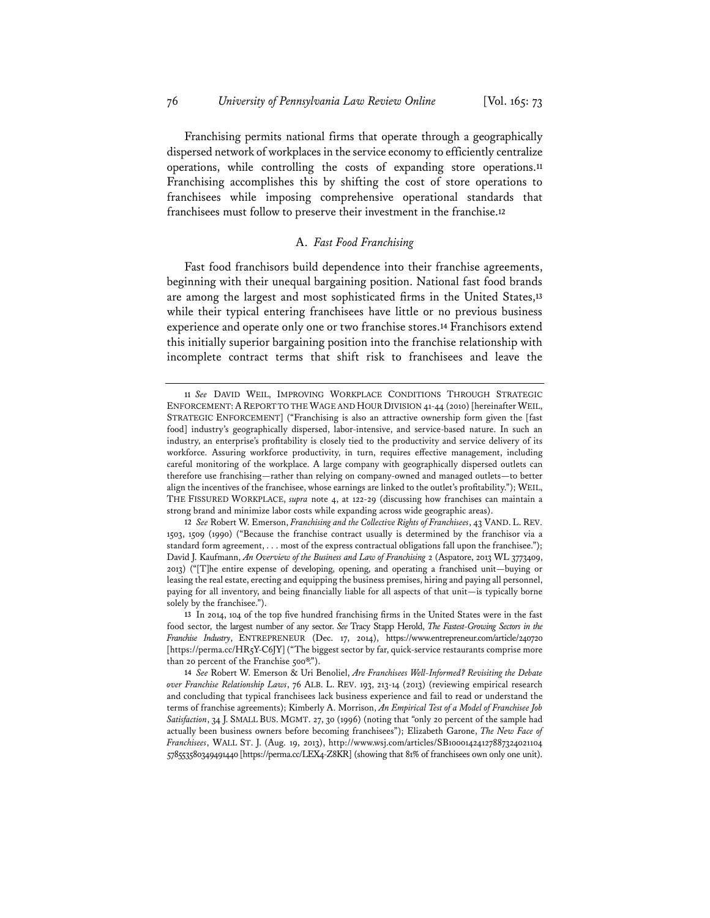Franchising permits national firms that operate through a geographically dispersed network of workplaces in the service economy to efficiently centralize operations, while controlling the costs of expanding store operations.**<sup>11</sup>** Franchising accomplishes this by shifting the cost of store operations to franchisees while imposing comprehensive operational standards that franchisees must follow to preserve their investment in the franchise.**<sup>12</sup>**

## A. *Fast Food Franchising*

Fast food franchisors build dependence into their franchise agreements, beginning with their unequal bargaining position. National fast food brands are among the largest and most sophisticated firms in the United States,**<sup>13</sup>** while their typical entering franchisees have little or no previous business experience and operate only one or two franchise stores.**<sup>14</sup>** Franchisors extend this initially superior bargaining position into the franchise relationship with incomplete contract terms that shift risk to franchisees and leave the

**<sup>11</sup>** *See* DAVID WEIL, IMPROVING WORKPLACE CONDITIONS THROUGH STRATEGIC ENFORCEMENT: A REPORT TO THE WAGE AND HOUR DIVISION 41-44 (2010) [hereinafter WEIL, STRATEGIC ENFORCEMENT] ("Franchising is also an attractive ownership form given the [fast food] industry's geographically dispersed, labor-intensive, and service-based nature. In such an industry, an enterprise's profitability is closely tied to the productivity and service delivery of its workforce. Assuring workforce productivity, in turn, requires effective management, including careful monitoring of the workplace. A large company with geographically dispersed outlets can therefore use franchising—rather than relying on company-owned and managed outlets—to better align the incentives of the franchisee, whose earnings are linked to the outlet's profitability."); WEIL, THE FISSURED WORKPLACE, *supra* note 4, at 122-29 (discussing how franchises can maintain a strong brand and minimize labor costs while expanding across wide geographic areas).

**<sup>12</sup>** *See* Robert W. Emerson, *Franchising and the Collective Rights of Franchisees*, 43 VAND. L. REV. 1503, 1509 (1990) ("Because the franchise contract usually is determined by the franchisor via a standard form agreement, . . . most of the express contractual obligations fall upon the franchisee."); David J. Kaufmann, *An Overview of the Business and Law of Franchising* 2 (Aspatore, 2013 WL 3773409, 2013) ("[T]he entire expense of developing, opening, and operating a franchised unit—buying or leasing the real estate, erecting and equipping the business premises, hiring and paying all personnel, paying for all inventory, and being financially liable for all aspects of that unit—is typically borne solely by the franchisee.").

**<sup>13</sup>** In 2014, 104 of the top five hundred franchising firms in the United States were in the fast food sector, the largest number of any sector. *See* Tracy Stapp Herold, *The Fastest-Growing Sectors in the Franchise Industry*, ENTREPRENEUR (Dec. 17, 2014), https://www.entrepreneur.com/article/240720 [https://perma.cc/HR5Y-C6JY] ("The biggest sector by far, quick-service restaurants comprise more than 20 percent of the Franchise 500®.").

**<sup>14</sup>** *See* Robert W. Emerson & Uri Benoliel, *Are Franchisees Well-Informed? Revisiting the Debate over Franchise Relationship Laws*, 76 ALB. L. REV. 193, 213-14 (2013) (reviewing empirical research and concluding that typical franchisees lack business experience and fail to read or understand the terms of franchise agreements); Kimberly A. Morrison, *An Empirical Test of a Model of Franchisee Job Satisfaction*, 34 J. SMALL BUS. MGMT. 27, 30 (1996) (noting that "only 20 percent of the sample had actually been business owners before becoming franchisees"); Elizabeth Garone, *The New Face of Franchisees*, WALL ST. J. (Aug. 19, 2013), http://www.wsj.com/articles/SB10001424127887324021104 578553580349491440 [https://perma.cc/LEX4-Z8KR] (showing that 81% of franchisees own only one unit).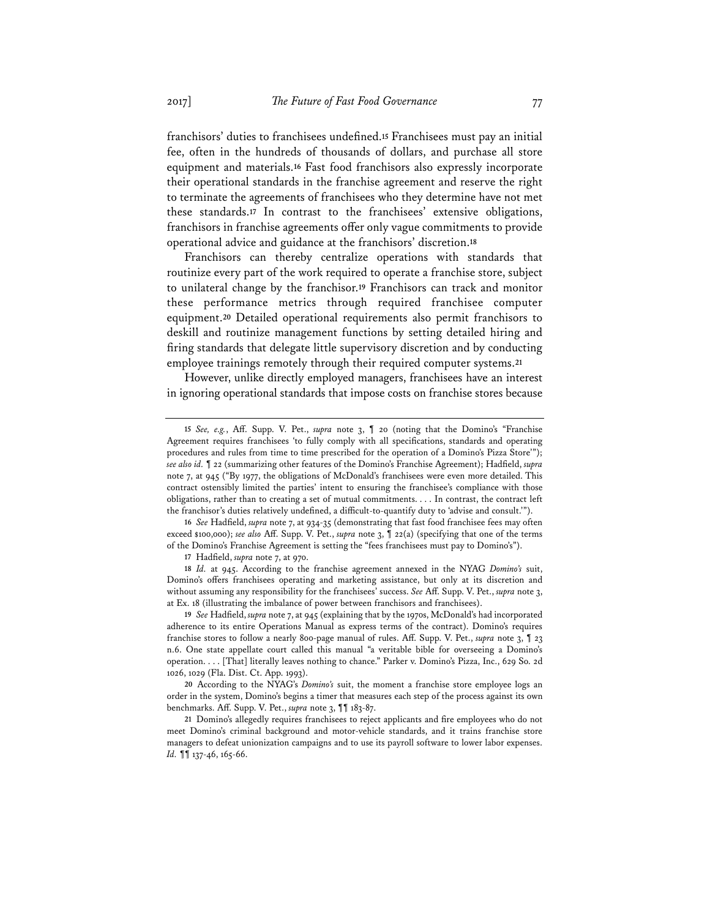franchisors' duties to franchisees undefined.**<sup>15</sup>** Franchisees must pay an initial fee, often in the hundreds of thousands of dollars, and purchase all store equipment and materials.**<sup>16</sup>** Fast food franchisors also expressly incorporate their operational standards in the franchise agreement and reserve the right to terminate the agreements of franchisees who they determine have not met these standards.**<sup>17</sup>** In contrast to the franchisees' extensive obligations, franchisors in franchise agreements offer only vague commitments to provide operational advice and guidance at the franchisors' discretion.**<sup>18</sup>**

Franchisors can thereby centralize operations with standards that routinize every part of the work required to operate a franchise store, subject to unilateral change by the franchisor.**<sup>19</sup>** Franchisors can track and monitor these performance metrics through required franchisee computer equipment.**<sup>20</sup>** Detailed operational requirements also permit franchisors to deskill and routinize management functions by setting detailed hiring and firing standards that delegate little supervisory discretion and by conducting employee trainings remotely through their required computer systems.**<sup>21</sup>**

However, unlike directly employed managers, franchisees have an interest in ignoring operational standards that impose costs on franchise stores because

**16** *See* Hadfield, *supra* note 7, at 934-35 (demonstrating that fast food franchisee fees may often exceed \$100,000); *see also* Aff. Supp. V. Pet., *supra* note 3, ¶ 22(a) (specifying that one of the terms of the Domino's Franchise Agreement is setting the "fees franchisees must pay to Domino's").

**17** Hadfield, *supra* note 7, at 970.

**18** *Id.* at 945. According to the franchise agreement annexed in the NYAG *Domino's* suit, Domino's offers franchisees operating and marketing assistance, but only at its discretion and without assuming any responsibility for the franchisees' success. *See* Aff. Supp. V. Pet., *supra* note 3, at Ex. 18 (illustrating the imbalance of power between franchisors and franchisees).

**19** *See* Hadfield, *supra* note 7, at 945 (explaining that by the 1970s, McDonald's had incorporated adherence to its entire Operations Manual as express terms of the contract). Domino's requires franchise stores to follow a nearly 800-page manual of rules. Aff. Supp. V. Pet., *supra* note 3, ¶ 23 n.6. One state appellate court called this manual "a veritable bible for overseeing a Domino's operation. . . . [That] literally leaves nothing to chance." Parker v. Domino's Pizza, Inc., 629 So. 2d 1026, 1029 (Fla. Dist. Ct. App. 1993).

**20** According to the NYAG's *Domino's* suit, the moment a franchise store employee logs an order in the system, Domino's begins a timer that measures each step of the process against its own benchmarks. Aff. Supp. V. Pet., *supra* note 3, ¶¶ 183-87.

**21** Domino's allegedly requires franchisees to reject applicants and fire employees who do not meet Domino's criminal background and motor-vehicle standards, and it trains franchise store managers to defeat unionization campaigns and to use its payroll software to lower labor expenses. *Id.* **[1** 137-46, 165-66.

**<sup>15</sup>** *See, e.g.*, Aff. Supp. V. Pet., *supra* note 3, ¶ 20 (noting that the Domino's "Franchise Agreement requires franchisees 'to fully comply with all specifications, standards and operating procedures and rules from time to time prescribed for the operation of a Domino's Pizza Store'"); *see also id.* ¶ 22 (summarizing other features of the Domino's Franchise Agreement); Hadfield, *supra* note 7, at 945 ("By 1977, the obligations of McDonald's franchisees were even more detailed. This contract ostensibly limited the parties' intent to ensuring the franchisee's compliance with those obligations, rather than to creating a set of mutual commitments. . . . In contrast, the contract left the franchisor's duties relatively undefined, a difficult-to-quantify duty to 'advise and consult.'").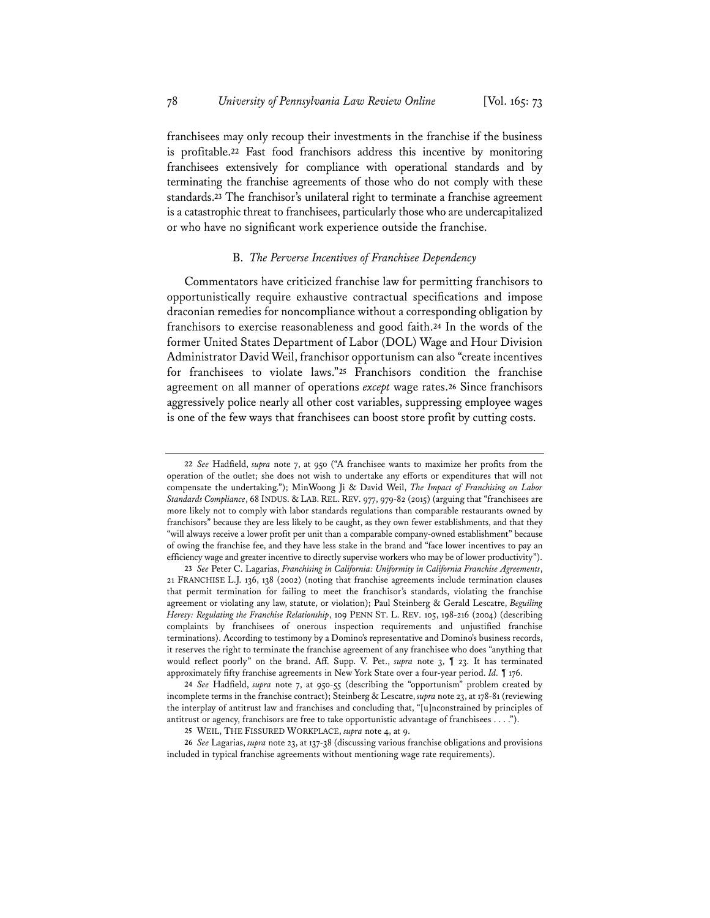franchisees may only recoup their investments in the franchise if the business is profitable.**<sup>22</sup>** Fast food franchisors address this incentive by monitoring franchisees extensively for compliance with operational standards and by terminating the franchise agreements of those who do not comply with these standards.**<sup>23</sup>** The franchisor's unilateral right to terminate a franchise agreement is a catastrophic threat to franchisees, particularly those who are undercapitalized or who have no significant work experience outside the franchise.

#### B. *The Perverse Incentives of Franchisee Dependency*

Commentators have criticized franchise law for permitting franchisors to opportunistically require exhaustive contractual specifications and impose draconian remedies for noncompliance without a corresponding obligation by franchisors to exercise reasonableness and good faith.**<sup>24</sup>** In the words of the former United States Department of Labor (DOL) Wage and Hour Division Administrator David Weil, franchisor opportunism can also "create incentives for franchisees to violate laws."**<sup>25</sup>** Franchisors condition the franchise agreement on all manner of operations *except* wage rates.**<sup>26</sup>** Since franchisors aggressively police nearly all other cost variables, suppressing employee wages is one of the few ways that franchisees can boost store profit by cutting costs.

**24** *See* Hadfield, *supra* note 7, at 950-55 (describing the "opportunism" problem created by incomplete terms in the franchise contract); Steinberg & Lescatre, *supra* note 23, at 178-81 (reviewing the interplay of antitrust law and franchises and concluding that, "[u]nconstrained by principles of antitrust or agency, franchisors are free to take opportunistic advantage of franchisees . . . .").

**26** *See* Lagarias, *supra* note 23, at 137-38 (discussing various franchise obligations and provisions included in typical franchise agreements without mentioning wage rate requirements).

**<sup>22</sup>** *See* Hadfield, *supra* note 7, at 950 ("A franchisee wants to maximize her profits from the operation of the outlet; she does not wish to undertake any efforts or expenditures that will not compensate the undertaking."); MinWoong Ji & David Weil, *The Impact of Franchising on Labor Standards Compliance*, 68 INDUS. & LAB. REL. REV. 977, 979-82 (2015) (arguing that "franchisees are more likely not to comply with labor standards regulations than comparable restaurants owned by franchisors" because they are less likely to be caught, as they own fewer establishments, and that they "will always receive a lower profit per unit than a comparable company-owned establishment" because of owing the franchise fee, and they have less stake in the brand and "face lower incentives to pay an efficiency wage and greater incentive to directly supervise workers who may be of lower productivity").

**<sup>23</sup>** *See* Peter C. Lagarias, *Franchising in California: Uniformity in California Franchise Agreements*, 21 FRANCHISE L.J. 136, 138 (2002) (noting that franchise agreements include termination clauses that permit termination for failing to meet the franchisor's standards, violating the franchise agreement or violating any law, statute, or violation); Paul Steinberg & Gerald Lescatre, *Beguiling Heresy: Regulating the Franchise Relationship*, 109 PENN ST. L. REV. 105, 198-216 (2004) (describing complaints by franchisees of onerous inspection requirements and unjustified franchise terminations). According to testimony by a Domino's representative and Domino's business records, it reserves the right to terminate the franchise agreement of any franchisee who does "anything that would reflect poorly" on the brand. Aff. Supp. V. Pet., *supra* note 3, ¶ 23. It has terminated approximately fifty franchise agreements in New York State over a four-year period. *Id.* ¶ 176.

**<sup>25</sup>** WEIL, THE FISSURED WORKPLACE, *supra* note 4, at 9.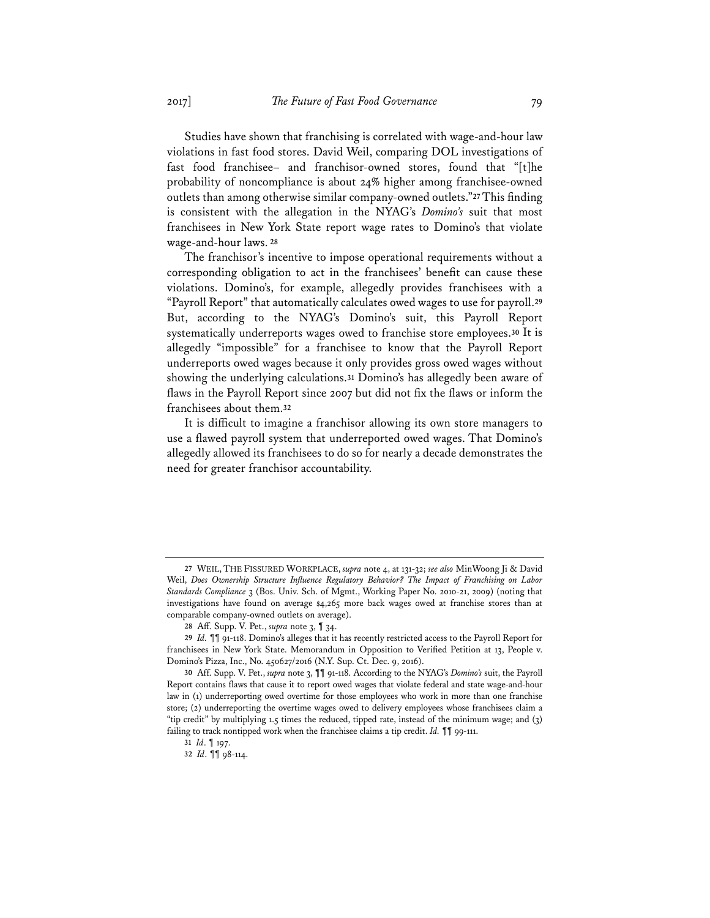Studies have shown that franchising is correlated with wage-and-hour law violations in fast food stores. David Weil, comparing DOL investigations of fast food franchisee– and franchisor-owned stores, found that "[t]he probability of noncompliance is about 24% higher among franchisee-owned outlets than among otherwise similar company-owned outlets."**<sup>27</sup>** This finding is consistent with the allegation in the NYAG's *Domino's* suit that most franchisees in New York State report wage rates to Domino's that violate wage-and-hour laws. **<sup>28</sup>**

The franchisor's incentive to impose operational requirements without a corresponding obligation to act in the franchisees' benefit can cause these violations. Domino's, for example, allegedly provides franchisees with a "Payroll Report" that automatically calculates owed wages to use for payroll.**<sup>29</sup>** But, according to the NYAG's Domino's suit, this Payroll Report systematically underreports wages owed to franchise store employees.**<sup>30</sup>** It is allegedly "impossible" for a franchisee to know that the Payroll Report underreports owed wages because it only provides gross owed wages without showing the underlying calculations.**<sup>31</sup>** Domino's has allegedly been aware of flaws in the Payroll Report since 2007 but did not fix the flaws or inform the franchisees about them.**<sup>32</sup>**

It is difficult to imagine a franchisor allowing its own store managers to use a flawed payroll system that underreported owed wages. That Domino's allegedly allowed its franchisees to do so for nearly a decade demonstrates the need for greater franchisor accountability.

**<sup>27</sup>** WEIL, THE FISSURED WORKPLACE, *supra* note 4, at 131-32; *see also* MinWoong Ji & David Weil, *Does Ownership Structure Influence Regulatory Behavior? The Impact of Franchising on Labor Standards Compliance* 3 (Bos. Univ. Sch. of Mgmt., Working Paper No. 2010-21, 2009) (noting that investigations have found on average \$4,265 more back wages owed at franchise stores than at comparable company-owned outlets on average).

**<sup>28</sup>** Aff. Supp. V. Pet., *supra* note 3, ¶ 34.

**<sup>29</sup>** *Id.* ¶¶ 91-118. Domino's alleges that it has recently restricted access to the Payroll Report for franchisees in New York State. Memorandum in Opposition to Verified Petition at 13, People v. Domino's Pizza, Inc., No. 450627/2016 (N.Y. Sup. Ct. Dec. 9, 2016).

**<sup>30</sup>** Aff. Supp. V. Pet., *supra* note 3, ¶¶ 91-118. According to the NYAG's *Domino's* suit, the Payroll Report contains flaws that cause it to report owed wages that violate federal and state wage-and-hour law in (1) underreporting owed overtime for those employees who work in more than one franchise store; (2) underreporting the overtime wages owed to delivery employees whose franchisees claim a "tip credit" by multiplying 1.5 times the reduced, tipped rate, instead of the minimum wage; and (3) failing to track nontipped work when the franchisee claims a tip credit. *Id.* ¶¶ 99-111.

**<sup>31</sup>** *Id*. ¶ 197.

**<sup>32</sup>** *Id*. ¶¶ 98-114.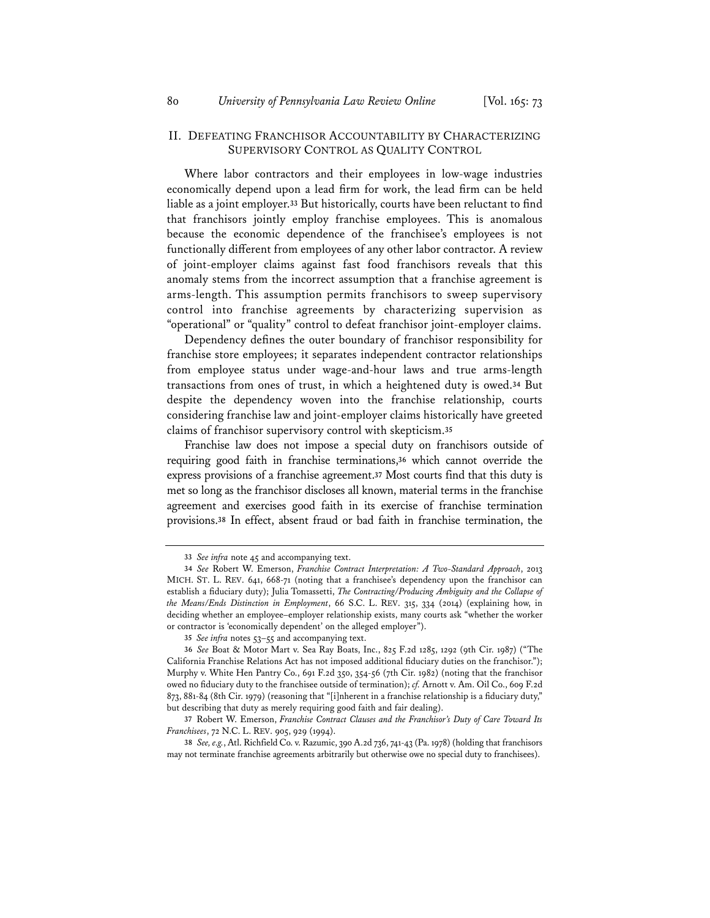#### II. DEFEATING FRANCHISOR ACCOUNTABILITY BY CHARACTERIZING SUPERVISORY CONTROL AS QUALITY CONTROL

Where labor contractors and their employees in low-wage industries economically depend upon a lead firm for work, the lead firm can be held liable as a joint employer.**<sup>33</sup>** But historically, courts have been reluctant to find that franchisors jointly employ franchise employees. This is anomalous because the economic dependence of the franchisee's employees is not functionally different from employees of any other labor contractor. A review of joint-employer claims against fast food franchisors reveals that this anomaly stems from the incorrect assumption that a franchise agreement is arms-length. This assumption permits franchisors to sweep supervisory control into franchise agreements by characterizing supervision as "operational" or "quality" control to defeat franchisor joint-employer claims.

Dependency defines the outer boundary of franchisor responsibility for franchise store employees; it separates independent contractor relationships from employee status under wage-and-hour laws and true arms-length transactions from ones of trust, in which a heightened duty is owed.**<sup>34</sup>** But despite the dependency woven into the franchise relationship, courts considering franchise law and joint-employer claims historically have greeted claims of franchisor supervisory control with skepticism.**<sup>35</sup>**

Franchise law does not impose a special duty on franchisors outside of requiring good faith in franchise terminations,**<sup>36</sup>** which cannot override the express provisions of a franchise agreement.**<sup>37</sup>** Most courts find that this duty is met so long as the franchisor discloses all known, material terms in the franchise agreement and exercises good faith in its exercise of franchise termination provisions.**<sup>38</sup>** In effect, absent fraud or bad faith in franchise termination, the

**<sup>33</sup>** *See infra* note 45 and accompanying text.

**<sup>34</sup>** *See* Robert W. Emerson, *Franchise Contract Interpretation: A Two-Standard Approach*, 2013 MICH. ST. L. REV. 641, 668-71 (noting that a franchisee's dependency upon the franchisor can establish a fiduciary duty); Julia Tomassetti, *The Contracting/Producing Ambiguity and the Collapse of the Means/Ends Distinction in Employment*, 66 S.C. L. REV. 315, 334 (2014) (explaining how, in deciding whether an employee–employer relationship exists, many courts ask "whether the worker or contractor is 'economically dependent' on the alleged employer").

**<sup>35</sup>** *See infra* notes 53–55 and accompanying text.

**<sup>36</sup>** *See* Boat & Motor Mart v. Sea Ray Boats, Inc., 825 F.2d 1285, 1292 (9th Cir. 1987) ("The California Franchise Relations Act has not imposed additional fiduciary duties on the franchisor."); Murphy v. White Hen Pantry Co., 691 F.2d 350, 354-56 (7th Cir. 1982) (noting that the franchisor owed no fiduciary duty to the franchisee outside of termination); *cf.* Arnott v. Am. Oil Co., 609 F.2d 873, 881-84 (8th Cir. 1979) (reasoning that "[i]nherent in a franchise relationship is a fiduciary duty," but describing that duty as merely requiring good faith and fair dealing).

**<sup>37</sup>** Robert W. Emerson, *Franchise Contract Clauses and the Franchisor's Duty of Care Toward Its Franchisees*, 72 N.C. L. REV. 905, 929 (1994).

**<sup>38</sup>** *See, e.g.*, Atl. Richfield Co. v. Razumic, 390 A.2d 736, 741-43 (Pa. 1978) (holding that franchisors may not terminate franchise agreements arbitrarily but otherwise owe no special duty to franchisees).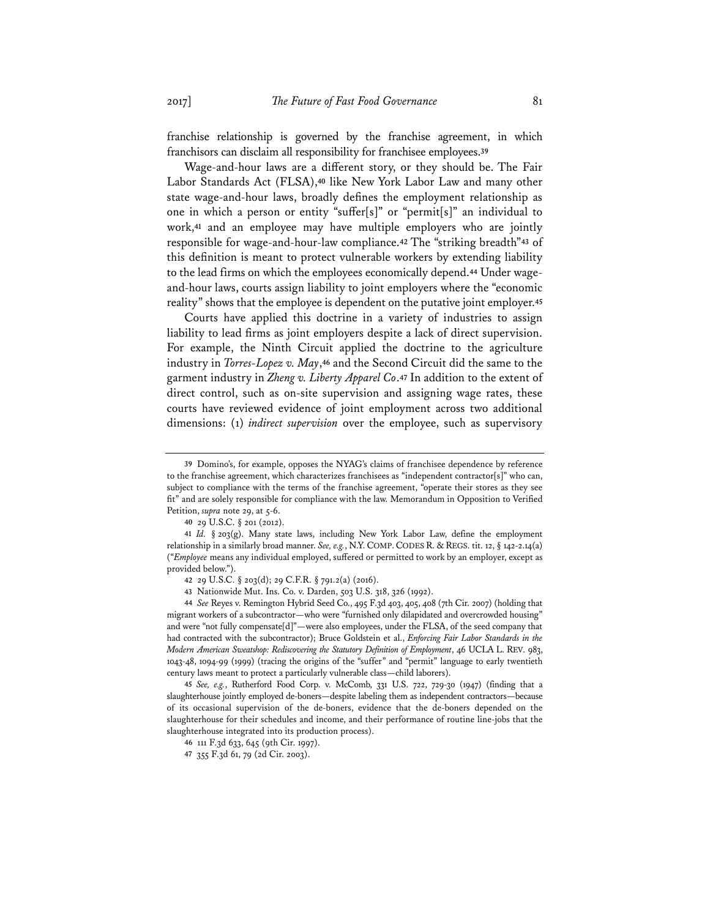franchise relationship is governed by the franchise agreement, in which franchisors can disclaim all responsibility for franchisee employees.**<sup>39</sup>**

Wage-and-hour laws are a different story, or they should be. The Fair Labor Standards Act (FLSA),**<sup>40</sup>** like New York Labor Law and many other state wage-and-hour laws, broadly defines the employment relationship as one in which a person or entity "suffer[s]" or "permit[s]" an individual to work,**<sup>41</sup>** and an employee may have multiple employers who are jointly responsible for wage-and-hour-law compliance.**<sup>42</sup>** The "striking breadth"**<sup>43</sup>** of this definition is meant to protect vulnerable workers by extending liability to the lead firms on which the employees economically depend.**44** Under wageand-hour laws, courts assign liability to joint employers where the "economic reality" shows that the employee is dependent on the putative joint employer.**<sup>45</sup>**

Courts have applied this doctrine in a variety of industries to assign liability to lead firms as joint employers despite a lack of direct supervision. For example, the Ninth Circuit applied the doctrine to the agriculture industry in *Torres-Lopez v. May*,**<sup>46</sup>** and the Second Circuit did the same to the garment industry in *Zheng v. Liberty Apparel Co*.**<sup>47</sup>** In addition to the extent of direct control, such as on-site supervision and assigning wage rates, these courts have reviewed evidence of joint employment across two additional dimensions: (1) *indirect supervision* over the employee, such as supervisory

**40** 29 U.S.C. § 201 (2012).

**41** *Id.* § 203(g). Many state laws, including New York Labor Law, define the employment relationship in a similarly broad manner. *See, e.g.*, N.Y.COMP.CODES R. & REGS. tit. 12, § 142-2.14(a) ("*Employee* means any individual employed, suffered or permitted to work by an employer, except as provided below.").

**43** Nationwide Mut. Ins. Co. v. Darden, 503 U.S. 318, 326 (1992).

**44** *See* Reyes v. Remington Hybrid Seed Co., 495 F.3d 403, 405, 408 (7th Cir. 2007) (holding that migrant workers of a subcontractor—who were "furnished only dilapidated and overcrowded housing" and were "not fully compensate[d]"—were also employees, under the FLSA, of the seed company that had contracted with the subcontractor); Bruce Goldstein et al., *Enforcing Fair Labor Standards in the Modern American Sweatshop: Rediscovering the Statutory Definition of Employment*, 46 UCLA L. REV. 983, 1043-48, 1094-99 (1999) (tracing the origins of the "suffer" and "permit" language to early twentieth century laws meant to protect a particularly vulnerable class—child laborers).

**45** *See, e.g.*, Rutherford Food Corp. v. McComb, 331 U.S. 722, 729-30 (1947) (finding that a slaughterhouse jointly employed de-boners—despite labeling them as independent contractors—because of its occasional supervision of the de-boners, evidence that the de-boners depended on the slaughterhouse for their schedules and income, and their performance of routine line-jobs that the slaughterhouse integrated into its production process).

**<sup>39</sup>** Domino's, for example, opposes the NYAG's claims of franchisee dependence by reference to the franchise agreement, which characterizes franchisees as "independent contractor[s]" who can, subject to compliance with the terms of the franchise agreement, "operate their stores as they see fit" and are solely responsible for compliance with the law. Memorandum in Opposition to Verified Petition, *supra* note 29, at 5-6.

**<sup>42</sup>** 29 U.S.C. § 203(d); 29 C.F.R. § 791.2(a) (2016).

**<sup>46</sup>** 111 F.3d 633, 645 (9th Cir. 1997).

**<sup>47</sup>** 355 F.3d 61, 79 (2d Cir. 2003).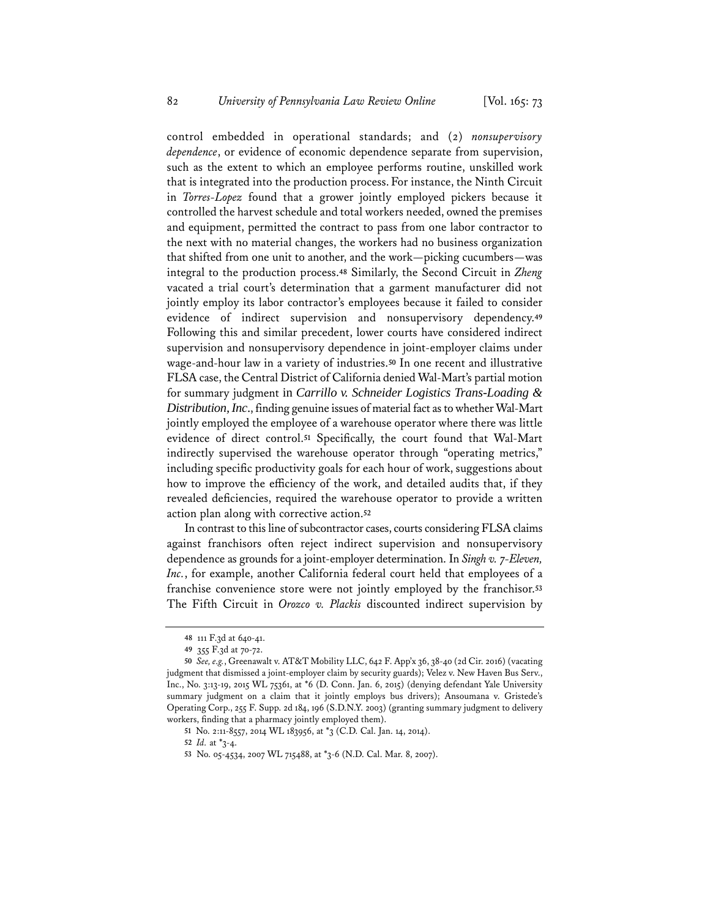control embedded in operational standards; and (2) *nonsupervisory dependence*, or evidence of economic dependence separate from supervision, such as the extent to which an employee performs routine, unskilled work that is integrated into the production process.For instance, the Ninth Circuit in *Torres-Lopez* found that a grower jointly employed pickers because it controlled the harvest schedule and total workers needed, owned the premises and equipment, permitted the contract to pass from one labor contractor to the next with no material changes, the workers had no business organization that shifted from one unit to another, and the work—picking cucumbers—was integral to the production process.**<sup>48</sup>** Similarly, the Second Circuit in *Zheng* vacated a trial court's determination that a garment manufacturer did not jointly employ its labor contractor's employees because it failed to consider evidence of indirect supervision and nonsupervisory dependency.**<sup>49</sup>** Following this and similar precedent, lower courts have considered indirect supervision and nonsupervisory dependence in joint-employer claims under wage-and-hour law in a variety of industries.**<sup>50</sup>** In one recent and illustrative FLSA case, the Central District of California denied Wal-Mart's partial motion for summary judgment in *Carrillo v. Schneider Logistics Trans-Loading & Distribution, Inc*., finding genuine issues of material fact as to whether Wal-Mart jointly employed the employee of a warehouse operator where there was little evidence of direct control.**<sup>51</sup>** Specifically, the court found that Wal-Mart indirectly supervised the warehouse operator through "operating metrics," including specific productivity goals for each hour of work, suggestions about how to improve the efficiency of the work, and detailed audits that, if they revealed deficiencies, required the warehouse operator to provide a written action plan along with corrective action.**<sup>52</sup>**

In contrast to this line of subcontractor cases, courts considering FLSA claims against franchisors often reject indirect supervision and nonsupervisory dependence as grounds for a joint-employer determination. In *Singh v. 7-Eleven, Inc.*, for example, another California federal court held that employees of a franchise convenience store were not jointly employed by the franchisor.**<sup>53</sup>** The Fifth Circuit in *Orozco v. Plackis* discounted indirect supervision by

**<sup>48</sup>** 111 F.3d at 640-41.

**<sup>49</sup>** 355 F.3d at 70-72.

**<sup>50</sup>** *See, e.g.*, Greenawalt v. AT&T Mobility LLC, 642 F. App'x 36, 38-40 (2d Cir. 2016) (vacating judgment that dismissed a joint-employer claim by security guards); Velez v. New Haven Bus Serv., Inc., No. 3:13-19, 2015 WL 75361, at \*6 (D. Conn. Jan. 6, 2015) (denying defendant Yale University summary judgment on a claim that it jointly employs bus drivers); Ansoumana v. Gristede's Operating Corp., 255 F. Supp. 2d 184, 196 (S.D.N.Y. 2003) (granting summary judgment to delivery workers, finding that a pharmacy jointly employed them).

**<sup>51</sup>** No. 2:11-8557, 2014 WL 183956, at \*3 (C.D. Cal. Jan. 14, 2014).

**<sup>52</sup>** *Id.* at \*3-4.

**<sup>53</sup>** No. 05-4534, 2007 WL 715488, at \*3-6 (N.D. Cal. Mar. 8, 2007).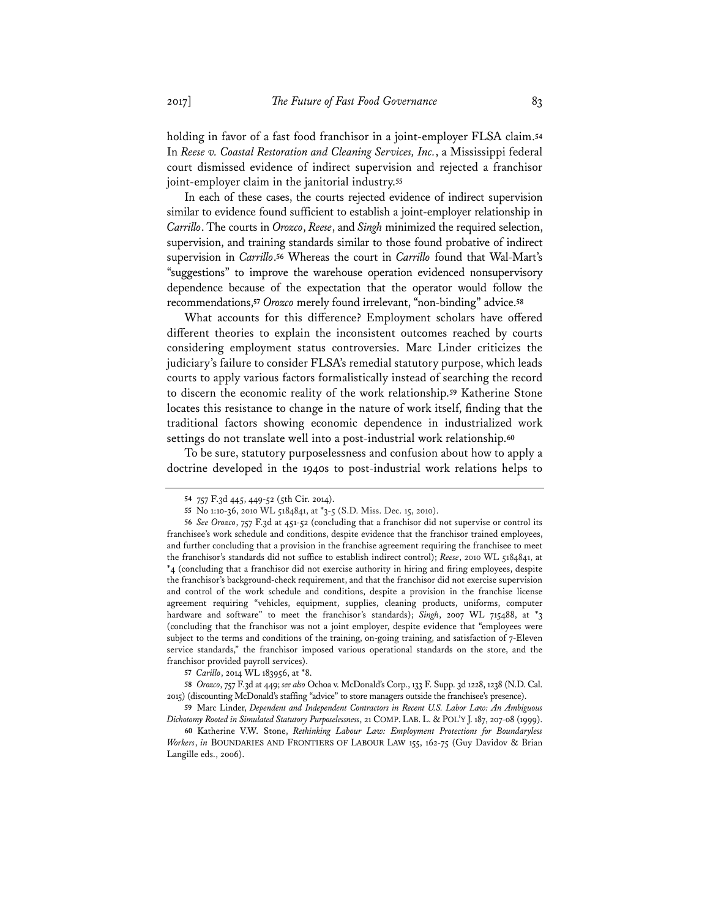holding in favor of a fast food franchisor in a joint-employer FLSA claim.**<sup>54</sup>** In *Reese v. Coastal Restoration and Cleaning Services, Inc.*, a Mississippi federal court dismissed evidence of indirect supervision and rejected a franchisor joint-employer claim in the janitorial industry.**<sup>55</sup>**

In each of these cases, the courts rejected evidence of indirect supervision similar to evidence found sufficient to establish a joint-employer relationship in *Carrillo*. The courts in *Orozco*, *Reese*, and *Singh* minimized the required selection, supervision, and training standards similar to those found probative of indirect supervision in *Carrillo*.**<sup>56</sup>** Whereas the court in *Carrillo* found that Wal-Mart's "suggestions" to improve the warehouse operation evidenced nonsupervisory dependence because of the expectation that the operator would follow the recommendations,**<sup>57</sup>** *Orozco* merely found irrelevant, "non-binding" advice.**<sup>58</sup>**

What accounts for this difference? Employment scholars have offered different theories to explain the inconsistent outcomes reached by courts considering employment status controversies. Marc Linder criticizes the judiciary's failure to consider FLSA's remedial statutory purpose, which leads courts to apply various factors formalistically instead of searching the record to discern the economic reality of the work relationship.**<sup>59</sup>** Katherine Stone locates this resistance to change in the nature of work itself, finding that the traditional factors showing economic dependence in industrialized work settings do not translate well into a post-industrial work relationship.**<sup>60</sup>**

To be sure, statutory purposelessness and confusion about how to apply a doctrine developed in the 1940s to post-industrial work relations helps to

**<sup>54</sup>** 757 F.3d 445, 449-52 (5th Cir. 2014).

**<sup>55</sup>** No 1:10-36, 2010 WL 5184841, at \*3-5 (S.D. Miss. Dec. 15, 2010).

**<sup>56</sup>** *See Orozco*, 757 F.3d at 451-52 (concluding that a franchisor did not supervise or control its franchisee's work schedule and conditions, despite evidence that the franchisor trained employees, and further concluding that a provision in the franchise agreement requiring the franchisee to meet the franchisor's standards did not suffice to establish indirect control); *Reese*, 2010 WL 5184841, at \*4 (concluding that a franchisor did not exercise authority in hiring and firing employees, despite the franchisor's background-check requirement, and that the franchisor did not exercise supervision and control of the work schedule and conditions, despite a provision in the franchise license agreement requiring "vehicles, equipment, supplies, cleaning products, uniforms, computer hardware and software" to meet the franchisor's standards); *Singh*, 2007 WL 715488, at  $*$ 3 (concluding that the franchisor was not a joint employer, despite evidence that "employees were subject to the terms and conditions of the training, on-going training, and satisfaction of 7-Eleven service standards," the franchisor imposed various operational standards on the store, and the franchisor provided payroll services).

**<sup>57</sup>** *Carillo*, 2014 WL 183956, at \*8.

**<sup>58</sup>** *Orozco*, 757 F.3d at 449; *see also* Ochoa v. McDonald's Corp., 133 F. Supp. 3d 1228, 1238 (N.D. Cal. 2015) (discounting McDonald's staffing "advice" to store managers outside the franchisee's presence).

**<sup>59</sup>** Marc Linder, *Dependent and Independent Contractors in Recent U.S. Labor Law: An Ambiguous Dichotomy Rooted in Simulated Statutory Purposelessness*, 21 COMP. LAB. L. & POL'Y J. 187, 207-08 (1999).

**<sup>60</sup>** Katherine V.W. Stone, *Rethinking Labour Law: Employment Protections for Boundaryless Workers*, *in* BOUNDARIES AND FRONTIERS OF LABOUR LAW 155, 162-75 (Guy Davidov & Brian Langille eds., 2006).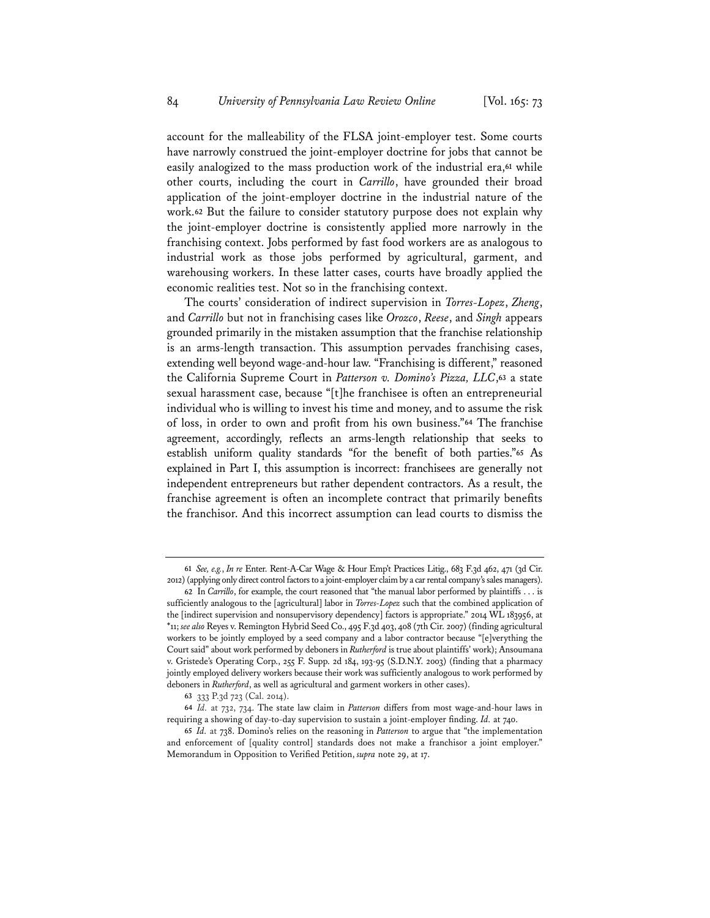account for the malleability of the FLSA joint-employer test. Some courts have narrowly construed the joint-employer doctrine for jobs that cannot be easily analogized to the mass production work of the industrial era,**<sup>61</sup>** while other courts, including the court in *Carrillo*, have grounded their broad application of the joint-employer doctrine in the industrial nature of the work.**<sup>62</sup>** But the failure to consider statutory purpose does not explain why the joint-employer doctrine is consistently applied more narrowly in the franchising context. Jobs performed by fast food workers are as analogous to industrial work as those jobs performed by agricultural, garment, and warehousing workers. In these latter cases, courts have broadly applied the economic realities test. Not so in the franchising context.

The courts' consideration of indirect supervision in *Torres-Lopez*, *Zheng*, and *Carrillo* but not in franchising cases like *Orozco*, *Reese*, and *Singh* appears grounded primarily in the mistaken assumption that the franchise relationship is an arms-length transaction. This assumption pervades franchising cases, extending well beyond wage-and-hour law. "Franchising is different," reasoned the California Supreme Court in *Patterson v. Domino's Pizza, LLC*,**<sup>63</sup>** a state sexual harassment case, because "[t]he franchisee is often an entrepreneurial individual who is willing to invest his time and money, and to assume the risk of loss, in order to own and profit from his own business."**<sup>64</sup>** The franchise agreement, accordingly, reflects an arms-length relationship that seeks to establish uniform quality standards "for the benefit of both parties."**<sup>65</sup>** As explained in Part I, this assumption is incorrect: franchisees are generally not independent entrepreneurs but rather dependent contractors. As a result, the franchise agreement is often an incomplete contract that primarily benefits the franchisor. And this incorrect assumption can lead courts to dismiss the

**<sup>61</sup>** *See, e.g.*, *In re* Enter. Rent-A-Car Wage & Hour Emp't Practices Litig., 683 F.3d 462, 471 (3d Cir. 2012) (applying only direct control factors to a joint-employer claim by a car rental company's sales managers).

**<sup>62</sup>** In *Carrillo*, for example, the court reasoned that "the manual labor performed by plaintiffs . . . is sufficiently analogous to the [agricultural] labor in *Torres-Lopez* such that the combined application of the [indirect supervision and nonsupervisory dependency] factors is appropriate." 2014 WL 183956, at \*11; *see also* Reyes v. Remington Hybrid Seed Co., 495 F.3d 403, 408 (7th Cir. 2007) (finding agricultural workers to be jointly employed by a seed company and a labor contractor because "[e]verything the Court said" about work performed by deboners in *Rutherford* is true about plaintiffs' work); Ansoumana v. Gristede's Operating Corp., 255 F. Supp. 2d 184, 193-95 (S.D.N.Y. 2003) (finding that a pharmacy jointly employed delivery workers because their work was sufficiently analogous to work performed by deboners in *Rutherford*, as well as agricultural and garment workers in other cases).

**<sup>63</sup>** 333 P.3d 723 (Cal. 2014).

**<sup>64</sup>** *Id.* at 732, 734. The state law claim in *Patterson* differs from most wage-and-hour laws in requiring a showing of day-to-day supervision to sustain a joint-employer finding. *Id.* at 740.

**<sup>65</sup>** *Id.* at 738. Domino's relies on the reasoning in *Patterson* to argue that "the implementation and enforcement of [quality control] standards does not make a franchisor a joint employer." Memorandum in Opposition to Verified Petition, *supra* note 29, at 17.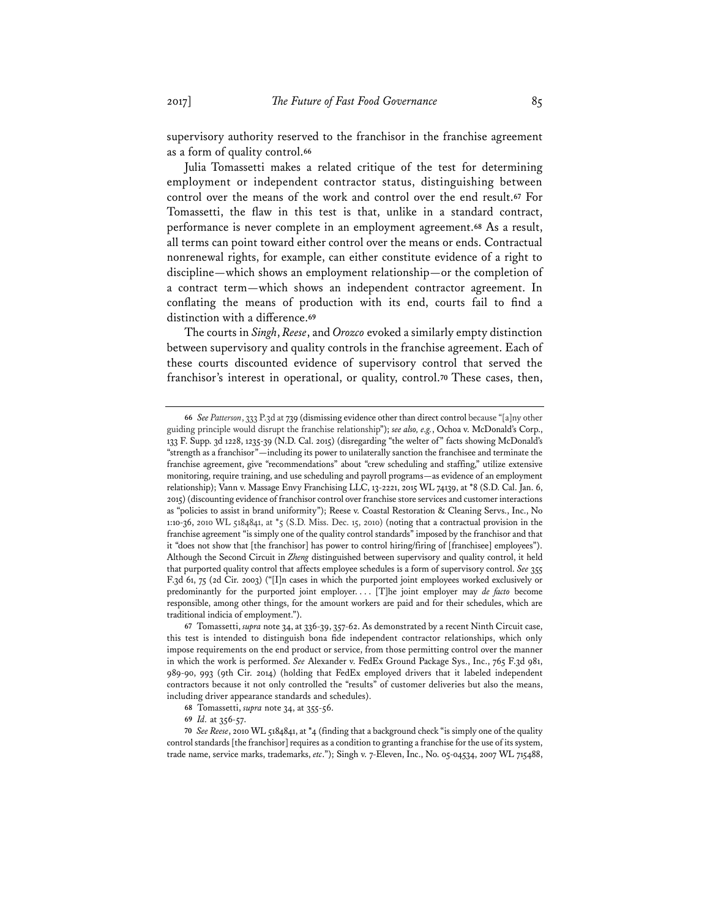supervisory authority reserved to the franchisor in the franchise agreement as a form of quality control.**<sup>66</sup>**

Julia Tomassetti makes a related critique of the test for determining employment or independent contractor status, distinguishing between control over the means of the work and control over the end result.**<sup>67</sup>** For Tomassetti, the flaw in this test is that, unlike in a standard contract, performance is never complete in an employment agreement.**<sup>68</sup>** As a result, all terms can point toward either control over the means or ends. Contractual nonrenewal rights, for example, can either constitute evidence of a right to discipline—which shows an employment relationship—or the completion of a contract term—which shows an independent contractor agreement. In conflating the means of production with its end, courts fail to find a distinction with a difference.**<sup>69</sup>**

The courts in *Singh*, *Reese*, and *Orozco* evoked a similarly empty distinction between supervisory and quality controls in the franchise agreement. Each of these courts discounted evidence of supervisory control that served the franchisor's interest in operational, or quality, control.**<sup>70</sup>** These cases, then,

**<sup>66</sup>** *See Patterson*, 333 P.3d at 739 (dismissing evidence other than direct control because "[a]ny other guiding principle would disrupt the franchise relationship"); *see also, e.g.*, Ochoa v. McDonald's Corp., 133 F. Supp. 3d 1228, 1235-39 (N.D. Cal. 2015) (disregarding "the welter of" facts showing McDonald's "strength as a franchisor"—including its power to unilaterally sanction the franchisee and terminate the franchise agreement, give "recommendations" about "crew scheduling and staffing," utilize extensive monitoring, require training, and use scheduling and payroll programs—as evidence of an employment relationship); Vann v. Massage Envy Franchising LLC, 13-2221, 2015 WL 74139, at \*8 (S.D. Cal. Jan. 6, 2015) (discounting evidence of franchisor control over franchise store services and customer interactions as "policies to assist in brand uniformity"); Reese v. Coastal Restoration & Cleaning Servs., Inc., No 1:10-36, 2010 WL 5184841, at \*5 (S.D. Miss. Dec. 15, 2010) (noting that a contractual provision in the franchise agreement "is simply one of the quality control standards" imposed by the franchisor and that it "does not show that [the franchisor] has power to control hiring/firing of [franchisee] employees"). Although the Second Circuit in *Zheng* distinguished between supervisory and quality control, it held that purported quality control that affects employee schedules is a form of supervisory control. *See* 355 F.3d 61, 75 (2d Cir. 2003) ("[I]n cases in which the purported joint employees worked exclusively or predominantly for the purported joint employer. . . . [T]he joint employer may *de facto* become responsible, among other things, for the amount workers are paid and for their schedules, which are traditional indicia of employment.").

**<sup>67</sup>** Tomassetti, *supra* note 34, at 336-39, 357-62. As demonstrated by a recent Ninth Circuit case, this test is intended to distinguish bona fide independent contractor relationships, which only impose requirements on the end product or service, from those permitting control over the manner in which the work is performed. *See* Alexander v. FedEx Ground Package Sys., Inc., 765 F.3d 981, 989-90, 993 (9th Cir. 2014) (holding that FedEx employed drivers that it labeled independent contractors because it not only controlled the "results" of customer deliveries but also the means, including driver appearance standards and schedules).

**<sup>68</sup>** Tomassetti, *supra* note 34, at 355-56.

**<sup>69</sup>** *Id.* at 356-57.

**<sup>70</sup>** *See Reese*, 2010 WL 5184841, at \*4 (finding that a background check "is simply one of the quality control standards [the franchisor] requires as a condition to granting a franchise for the use of its system, trade name, service marks, trademarks, *etc*."); Singh v. 7-Eleven, Inc., No. 05-04534, 2007 WL 715488,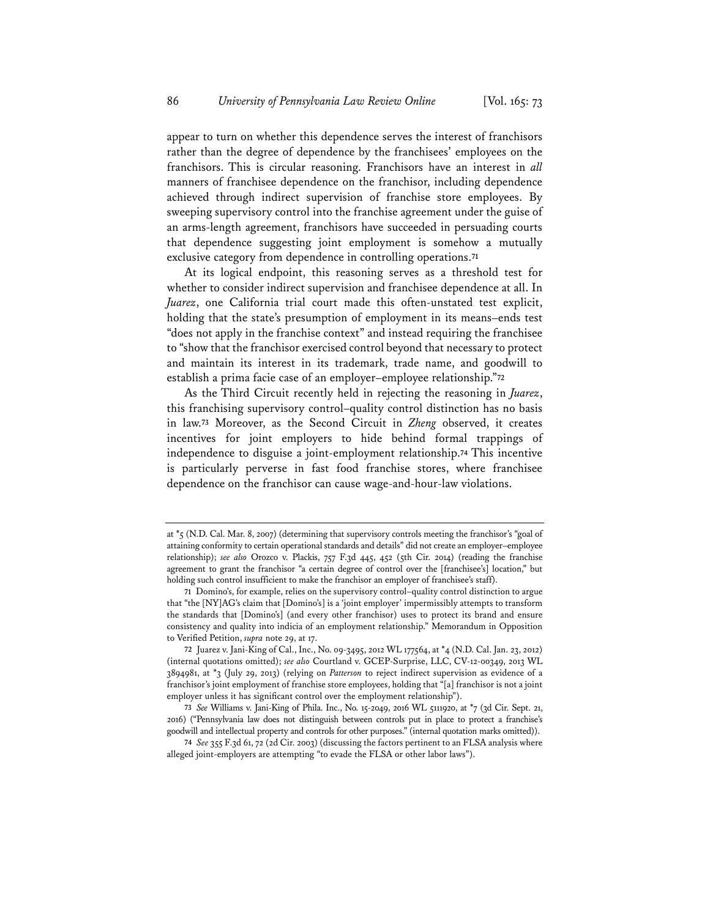appear to turn on whether this dependence serves the interest of franchisors rather than the degree of dependence by the franchisees' employees on the franchisors. This is circular reasoning. Franchisors have an interest in *all* manners of franchisee dependence on the franchisor, including dependence achieved through indirect supervision of franchise store employees. By sweeping supervisory control into the franchise agreement under the guise of an arms-length agreement, franchisors have succeeded in persuading courts that dependence suggesting joint employment is somehow a mutually exclusive category from dependence in controlling operations.**<sup>71</sup>**

At its logical endpoint, this reasoning serves as a threshold test for whether to consider indirect supervision and franchisee dependence at all. In *Juarez*, one California trial court made this often-unstated test explicit, holding that the state's presumption of employment in its means–ends test "does not apply in the franchise context" and instead requiring the franchisee to "show that the franchisor exercised control beyond that necessary to protect and maintain its interest in its trademark, trade name, and goodwill to establish a prima facie case of an employer–employee relationship."**<sup>72</sup>**

As the Third Circuit recently held in rejecting the reasoning in *Juarez*, this franchising supervisory control–quality control distinction has no basis in law.**<sup>73</sup>** Moreover, as the Second Circuit in *Zheng* observed, it creates incentives for joint employers to hide behind formal trappings of independence to disguise a joint-employment relationship.**<sup>74</sup>** This incentive is particularly perverse in fast food franchise stores, where franchisee dependence on the franchisor can cause wage-and-hour-law violations.

at \*5 (N.D. Cal. Mar. 8, 2007) (determining that supervisory controls meeting the franchisor's "goal of attaining conformity to certain operational standards and details" did not create an employer–employee relationship); *see also* Orozco v. Plackis, 757 F.3d 445, 452 (5th Cir. 2014) (reading the franchise agreement to grant the franchisor "a certain degree of control over the [franchisee's] location," but holding such control insufficient to make the franchisor an employer of franchisee's staff).

**<sup>71</sup>** Domino's, for example, relies on the supervisory control–quality control distinction to argue that "the [NY]AG's claim that [Domino's] is a 'joint employer' impermissibly attempts to transform the standards that [Domino's] (and every other franchisor) uses to protect its brand and ensure consistency and quality into indicia of an employment relationship." Memorandum in Opposition to Verified Petition, *supra* note 29, at 17.

**<sup>72</sup>** Juarez v. Jani-King of Cal., Inc., No. 09-3495, 2012 WL 177564, at \*4 (N.D. Cal. Jan. 23, 2012) (internal quotations omitted); *see also* Courtland v. GCEP-Surprise, LLC, CV-12-00349, 2013 WL 3894981, at \*3 (July 29, 2013) (relying on *Patterson* to reject indirect supervision as evidence of a franchisor's joint employment of franchise store employees, holding that "[a] franchisor is not a joint employer unless it has significant control over the employment relationship").

**<sup>73</sup>** *See* Williams v. Jani-King of Phila. Inc., No. 15-2049, 2016 WL 5111920, at \*7 (3d Cir. Sept. 21, 2016) ("Pennsylvania law does not distinguish between controls put in place to protect a franchise's goodwill and intellectual property and controls for other purposes." (internal quotation marks omitted)).

**<sup>74</sup>** *See* 355 F.3d 61, 72 (2d Cir. 2003) (discussing the factors pertinent to an FLSA analysis where alleged joint-employers are attempting "to evade the FLSA or other labor laws").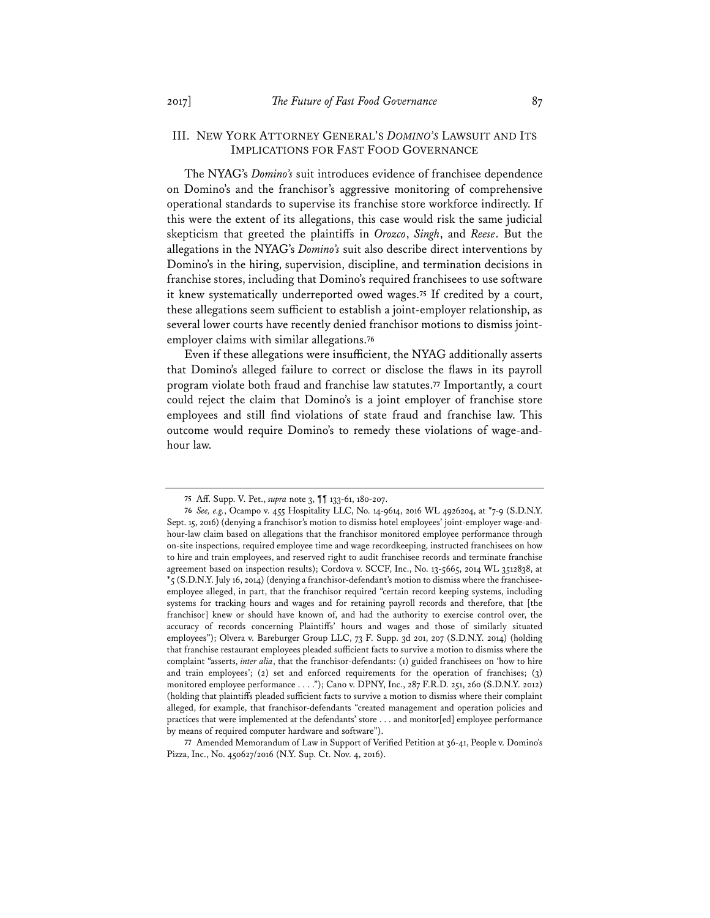## III. NEW YORK ATTORNEY GENERAL'S *DOMINO'S* LAWSUIT AND ITS IMPLICATIONS FOR FAST FOOD GOVERNANCE

The NYAG's *Domino's* suit introduces evidence of franchisee dependence on Domino's and the franchisor's aggressive monitoring of comprehensive operational standards to supervise its franchise store workforce indirectly. If this were the extent of its allegations, this case would risk the same judicial skepticism that greeted the plaintiffs in *Orozco*, *Singh*, and *Reese*. But the allegations in the NYAG's *Domino's* suit also describe direct interventions by Domino's in the hiring, supervision, discipline, and termination decisions in franchise stores, including that Domino's required franchisees to use software it knew systematically underreported owed wages.**<sup>75</sup>** If credited by a court, these allegations seem sufficient to establish a joint-employer relationship, as several lower courts have recently denied franchisor motions to dismiss jointemployer claims with similar allegations.**<sup>76</sup>**

Even if these allegations were insufficient, the NYAG additionally asserts that Domino's alleged failure to correct or disclose the flaws in its payroll program violate both fraud and franchise law statutes.**<sup>77</sup>** Importantly, a court could reject the claim that Domino's is a joint employer of franchise store employees and still find violations of state fraud and franchise law. This outcome would require Domino's to remedy these violations of wage-andhour law.

**77** Amended Memorandum of Law in Support of Verified Petition at 36-41, People v. Domino's Pizza, Inc., No. 450627/2016 (N.Y. Sup. Ct. Nov. 4, 2016).

**<sup>75</sup>** Aff. Supp. V. Pet., *supra* note 3, ¶¶ 133-61, 180-207.

**<sup>76</sup>** *See, e.g.*, Ocampo v. 455 Hospitality LLC, No. 14-9614, 2016 WL 4926204, at \*7-9 (S.D.N.Y. Sept. 15, 2016) (denying a franchisor's motion to dismiss hotel employees' joint-employer wage-andhour-law claim based on allegations that the franchisor monitored employee performance through on-site inspections, required employee time and wage recordkeeping, instructed franchisees on how to hire and train employees, and reserved right to audit franchisee records and terminate franchise agreement based on inspection results); Cordova v. SCCF, Inc., No. 13-5665, 2014 WL 3512838, at  $*_5$  (S.D.N.Y. July 16, 2014) (denying a franchisor-defendant's motion to dismiss where the franchiseeemployee alleged, in part, that the franchisor required "certain record keeping systems, including systems for tracking hours and wages and for retaining payroll records and therefore, that [the franchisor] knew or should have known of, and had the authority to exercise control over, the accuracy of records concerning Plaintiffs' hours and wages and those of similarly situated employees"); Olvera v. Bareburger Group LLC, 73 F. Supp. 3d 201, 207 (S.D.N.Y. 2014) (holding that franchise restaurant employees pleaded sufficient facts to survive a motion to dismiss where the complaint "asserts, *inter alia*, that the franchisor-defendants: (1) guided franchisees on 'how to hire and train employees'; (2) set and enforced requirements for the operation of franchises; (3) monitored employee performance . . . ."); Cano v. DPNY, Inc., 287 F.R.D. 251, 260 (S.D.N.Y. 2012) (holding that plaintiffs pleaded sufficient facts to survive a motion to dismiss where their complaint alleged, for example, that franchisor-defendants "created management and operation policies and practices that were implemented at the defendants' store . . . and monitor[ed] employee performance by means of required computer hardware and software").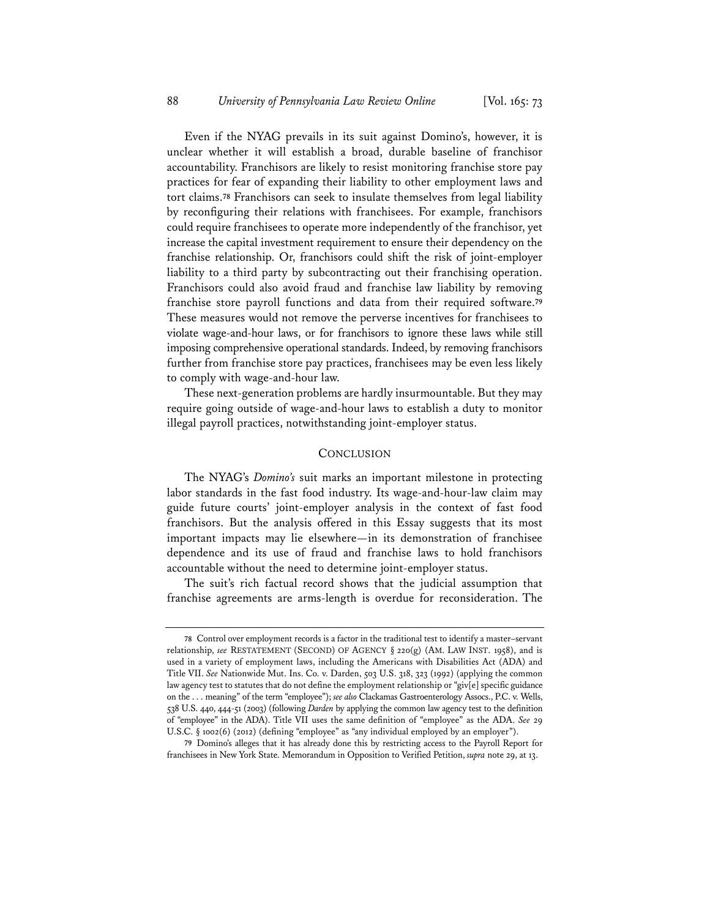Even if the NYAG prevails in its suit against Domino's, however, it is unclear whether it will establish a broad, durable baseline of franchisor accountability. Franchisors are likely to resist monitoring franchise store pay practices for fear of expanding their liability to other employment laws and tort claims.**<sup>78</sup>** Franchisors can seek to insulate themselves from legal liability by reconfiguring their relations with franchisees. For example, franchisors could require franchisees to operate more independently of the franchisor, yet increase the capital investment requirement to ensure their dependency on the franchise relationship. Or, franchisors could shift the risk of joint-employer liability to a third party by subcontracting out their franchising operation. Franchisors could also avoid fraud and franchise law liability by removing franchise store payroll functions and data from their required software.**<sup>79</sup>** These measures would not remove the perverse incentives for franchisees to violate wage-and-hour laws, or for franchisors to ignore these laws while still imposing comprehensive operational standards. Indeed, by removing franchisors further from franchise store pay practices, franchisees may be even less likely to comply with wage-and-hour law.

These next-generation problems are hardly insurmountable. But they may require going outside of wage-and-hour laws to establish a duty to monitor illegal payroll practices, notwithstanding joint-employer status.

## **CONCLUSION**

The NYAG's *Domino's* suit marks an important milestone in protecting labor standards in the fast food industry. Its wage-and-hour-law claim may guide future courts' joint-employer analysis in the context of fast food franchisors. But the analysis offered in this Essay suggests that its most important impacts may lie elsewhere—in its demonstration of franchisee dependence and its use of fraud and franchise laws to hold franchisors accountable without the need to determine joint-employer status.

The suit's rich factual record shows that the judicial assumption that franchise agreements are arms-length is overdue for reconsideration. The

**<sup>78</sup>** Control over employment records is a factor in the traditional test to identify a master–servant relationship, *see* RESTATEMENT (SECOND) OF AGENCY § 220(g) (AM. LAW INST. 1958), and is used in a variety of employment laws, including the Americans with Disabilities Act (ADA) and Title VII. *See* Nationwide Mut. Ins. Co. v. Darden, 503 U.S. 318, 323 (1992) (applying the common law agency test to statutes that do not define the employment relationship or "giv[e] specific guidance on the . . . meaning" of the term "employee"); *see also* Clackamas Gastroenterology Assocs., P.C. v. Wells, 538 U.S. 440, 444-51 (2003) (following *Darden* by applying the common law agency test to the definition of "employee" in the ADA). Title VII uses the same definition of "employee" as the ADA. *See* 29 U.S.C. § 1002(6) (2012) (defining "employee" as "any individual employed by an employer").

**<sup>79</sup>** Domino's alleges that it has already done this by restricting access to the Payroll Report for franchisees in New York State. Memorandum in Opposition to Verified Petition, *supra* note 29, at 13.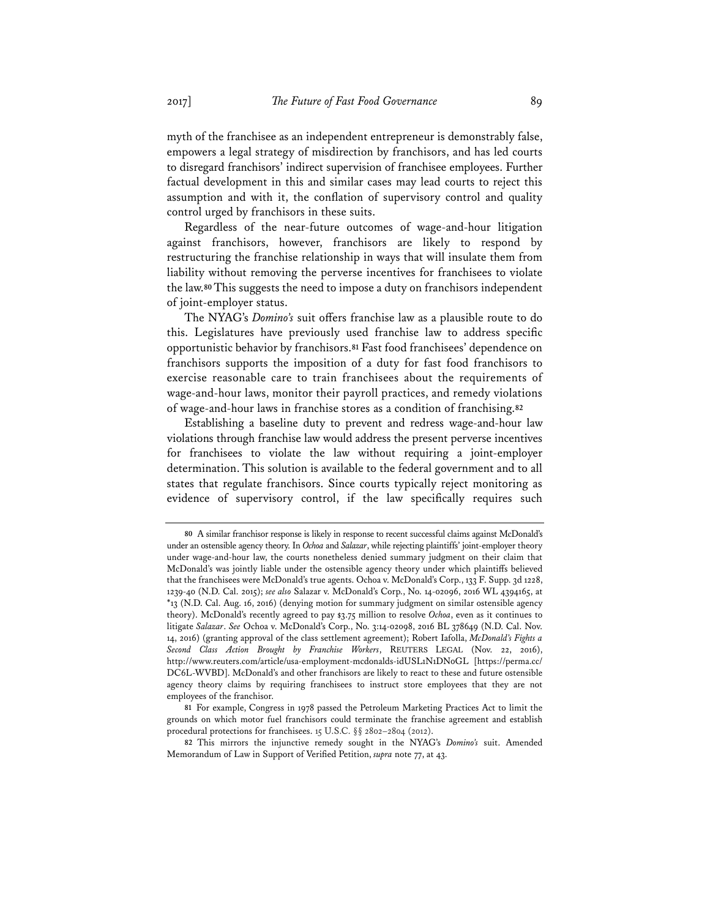myth of the franchisee as an independent entrepreneur is demonstrably false, empowers a legal strategy of misdirection by franchisors, and has led courts to disregard franchisors' indirect supervision of franchisee employees. Further factual development in this and similar cases may lead courts to reject this assumption and with it, the conflation of supervisory control and quality control urged by franchisors in these suits.

Regardless of the near-future outcomes of wage-and-hour litigation against franchisors, however, franchisors are likely to respond by restructuring the franchise relationship in ways that will insulate them from liability without removing the perverse incentives for franchisees to violate the law.**<sup>80</sup>** This suggests the need to impose a duty on franchisors independent of joint-employer status.

The NYAG's *Domino's* suit offers franchise law as a plausible route to do this. Legislatures have previously used franchise law to address specific opportunistic behavior by franchisors.**<sup>81</sup>** Fast food franchisees' dependence on franchisors supports the imposition of a duty for fast food franchisors to exercise reasonable care to train franchisees about the requirements of wage-and-hour laws, monitor their payroll practices, and remedy violations of wage-and-hour laws in franchise stores as a condition of franchising.**<sup>82</sup>**

Establishing a baseline duty to prevent and redress wage-and-hour law violations through franchise law would address the present perverse incentives for franchisees to violate the law without requiring a joint-employer determination. This solution is available to the federal government and to all states that regulate franchisors. Since courts typically reject monitoring as evidence of supervisory control, if the law specifically requires such

**<sup>80</sup>** A similar franchisor response is likely in response to recent successful claims against McDonald's under an ostensible agency theory. In *Ochoa* and *Salazar*, while rejecting plaintiffs' joint-employer theory under wage-and-hour law, the courts nonetheless denied summary judgment on their claim that McDonald's was jointly liable under the ostensible agency theory under which plaintiffs believed that the franchisees were McDonald's true agents. Ochoa v. McDonald's Corp., 133 F. Supp. 3d 1228, 1239-40 (N.D. Cal. 2015); *see also* Salazar v. McDonald's Corp., No. 14-02096, 2016 WL 4394165, at \*13 (N.D. Cal. Aug. 16, 2016) (denying motion for summary judgment on similar ostensible agency theory). McDonald's recently agreed to pay \$3.75 million to resolve *Ochoa*, even as it continues to litigate *Salazar*. *See* Ochoa v. McDonald's Corp., No. 3:14-02098, 2016 BL 378649 (N.D. Cal. Nov. 14, 2016) (granting approval of the class settlement agreement); Robert Iafolla, *McDonald's Fights a Second Class Action Brought by Franchise Workers*, REUTERS LEGAL (Nov. 22, 2016), http://www.reuters.com/article/usa-employment-mcdonalds-idUSL1N1DN0GL [https://perma.cc/ DC6L-WVBD]. McDonald's and other franchisors are likely to react to these and future ostensible agency theory claims by requiring franchisees to instruct store employees that they are not employees of the franchisor.

**<sup>81</sup>** For example, Congress in 1978 passed the Petroleum Marketing Practices Act to limit the grounds on which motor fuel franchisors could terminate the franchise agreement and establish procedural protections for franchisees. 15 U.S.C. §§ 2802–2804 (2012).

**<sup>82</sup>** This mirrors the injunctive remedy sought in the NYAG's *Domino's* suit. Amended Memorandum of Law in Support of Verified Petition, *supra* note 77, at 43.